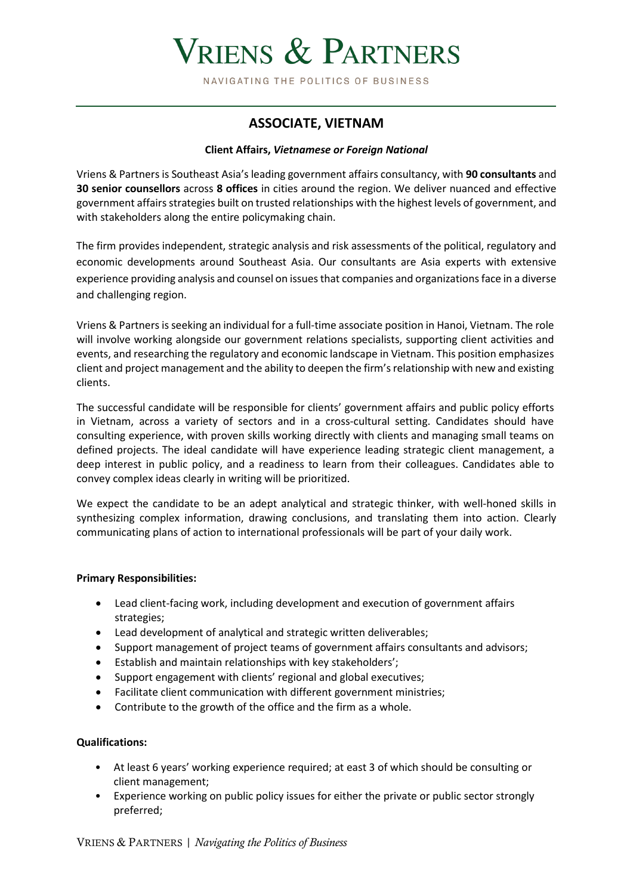# VRIENS & PARTNERS

NAVIGATING THE POLITICS OF BUSINESS

## **ASSOCIATE, VIETNAM**

#### **Client Affairs,** *Vietnamese or Foreign National*

Vriens & Partners is Southeast Asia's leading government affairs consultancy, with **90 consultants** and **30 senior counsellors** across **8 offices** in cities around the region. We deliver nuanced and effective government affairs strategies built on trusted relationships with the highest levels of government, and with stakeholders along the entire policymaking chain.

The firm provides independent, strategic analysis and risk assessments of the political, regulatory and economic developments around Southeast Asia. Our consultants are Asia experts with extensive experience providing analysis and counsel on issues that companies and organizations face in a diverse and challenging region.

Vriens & Partners is seeking an individual for a full-time associate position in Hanoi, Vietnam. The role will involve working alongside our government relations specialists, supporting client activities and events, and researching the regulatory and economic landscape in Vietnam. This position emphasizes client and project management and the ability to deepen the firm's relationship with new and existing clients.

The successful candidate will be responsible for clients' government affairs and public policy efforts in Vietnam, across a variety of sectors and in a cross-cultural setting. Candidates should have consulting experience, with proven skills working directly with clients and managing small teams on defined projects. The ideal candidate will have experience leading strategic client management, a deep interest in public policy, and a readiness to learn from their colleagues. Candidates able to convey complex ideas clearly in writing will be prioritized.

We expect the candidate to be an adept analytical and strategic thinker, with well-honed skills in synthesizing complex information, drawing conclusions, and translating them into action. Clearly communicating plans of action to international professionals will be part of your daily work.

#### **Primary Responsibilities:**

- Lead client-facing work, including development and execution of government affairs strategies;
- Lead development of analytical and strategic written deliverables;
- Support management of project teams of government affairs consultants and advisors;
- Establish and maintain relationships with key stakeholders';
- Support engagement with clients' regional and global executives;
- Facilitate client communication with different government ministries;
- Contribute to the growth of the office and the firm as a whole.

### **Qualifications:**

- At least 6 years' working experience required; at east 3 of which should be consulting or client management;
- Experience working on public policy issues for either the private or public sector strongly preferred;